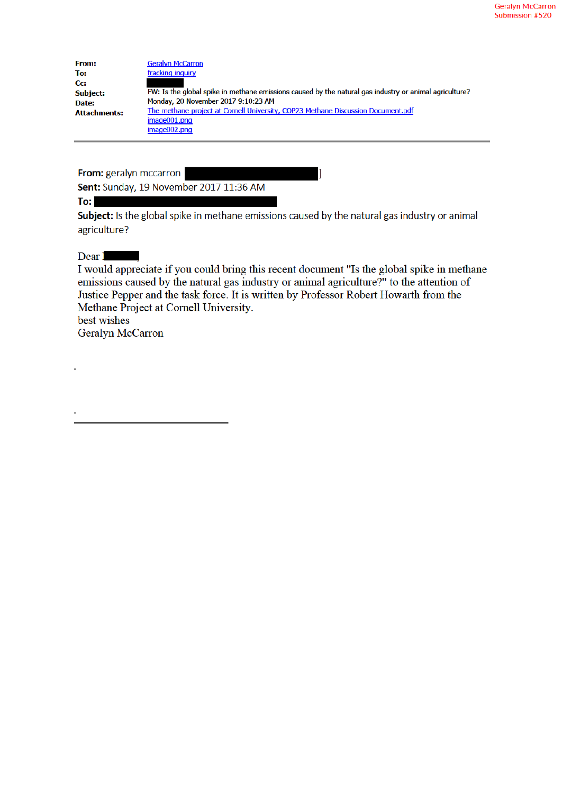| <b>From:</b>        | <b>Geralyn McCarron</b>                                                                                |
|---------------------|--------------------------------------------------------------------------------------------------------|
| To:                 | fracking inquiry                                                                                       |
| Cc:                 |                                                                                                        |
| <b>Subject:</b>     | FW: Is the global spike in methane emissions caused by the natural gas industry or animal agriculture? |
| Date:               | Monday, 20 November 2017 9:10:23 AM                                                                    |
| <b>Attachments:</b> | The methane project at Cornell University, COP23 Methane Discussion Document.pdf                       |
|                     | image001.png                                                                                           |
|                     | image002.png                                                                                           |

From: geralyn mccarron

Sent: Sunday, 19 November 2017 11:36 AM

To:

Subject: Is the global spike in methane emissions caused by the natural gas industry or animal agriculture?

Dear 1

I would appreciate if you could bring this recent document "Is the global spike in methane emissions caused by the natural gas industry or animal agriculture?" to the attention of Justice Pepper and the task force. It is written by Professor Robert Howarth from the Methane Project at Cornell University.

best wishes

**Geralyn McCarron**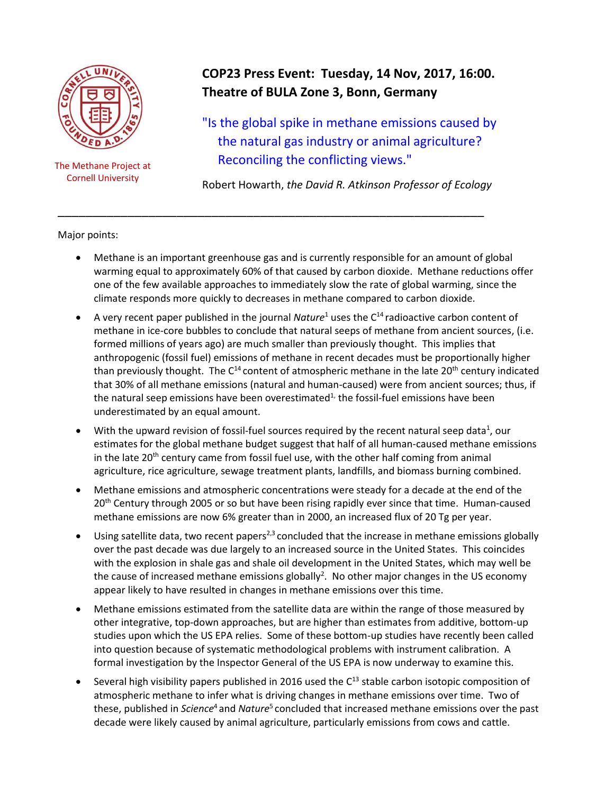

The Methane Project at Cornell University

## **COP23 Press Event: Tuesday, 14 Nov, 2017, 16:00. Theatre of BULA Zone 3, Bonn, Germany**

"Is the global spike in methane emissions caused by the natural gas industry or animal agriculture? Reconciling the conflicting views."

Robert Howarth, *the David R. Atkinson Professor of Ecology*

Major points:

 Methane is an important greenhouse gas and is currently responsible for an amount of global warming equal to approximately 60% of that caused by carbon dioxide. Methane reductions offer one of the few available approaches to immediately slow the rate of global warming, since the climate responds more quickly to decreases in methane compared to carbon dioxide.

\_\_\_\_\_\_\_\_\_\_\_\_\_\_\_\_\_\_\_\_\_\_\_\_\_\_\_\_\_\_\_\_\_\_\_\_\_\_\_\_\_\_\_\_\_\_\_\_\_\_\_\_\_\_\_\_\_\_\_\_\_

- A very recent paper published in the journal *Nature*<sup>1</sup> uses the C<sup>14</sup>radioactive carbon content of methane in ice-core bubbles to conclude that natural seeps of methane from ancient sources, (i.e. formed millions of years ago) are much smaller than previously thought. This implies that anthropogenic (fossil fuel) emissions of methane in recent decades must be proportionally higher than previously thought. The  $C^{14}$  content of atmospheric methane in the late 20<sup>th</sup> century indicated that 30% of all methane emissions (natural and human-caused) were from ancient sources; thus, if the natural seep emissions have been overestimated<sup>1,</sup> the fossil-fuel emissions have been underestimated by an equal amount.
- $\bullet$  With the upward revision of fossil-fuel sources required by the recent natural seep data<sup>1</sup>, our estimates for the global methane budget suggest that half of all human-caused methane emissions in the late 20<sup>th</sup> century came from fossil fuel use, with the other half coming from animal agriculture, rice agriculture, sewage treatment plants, landfills, and biomass burning combined.
- Methane emissions and atmospheric concentrations were steady for a decade at the end of the 20<sup>th</sup> Century through 2005 or so but have been rising rapidly ever since that time. Human-caused methane emissions are now 6% greater than in 2000, an increased flux of 20 Tg per year.
- Using satellite data, two recent papers<sup>2,3</sup> concluded that the increase in methane emissions globally over the past decade was due largely to an increased source in the United States. This coincides with the explosion in shale gas and shale oil development in the United States, which may well be the cause of increased methane emissions globally<sup>2</sup>. No other major changes in the US economy appear likely to have resulted in changes in methane emissions over this time.
- Methane emissions estimated from the satellite data are within the range of those measured by other integrative, top-down approaches, but are higher than estimates from additive, bottom-up studies upon which the US EPA relies. Some of these bottom-up studies have recently been called into question because of systematic methodological problems with instrument calibration. A formal investigation by the Inspector General of the US EPA is now underway to examine this.
- Several high visibility papers published in 2016 used the  $C^{13}$  stable carbon isotopic composition of atmospheric methane to infer what is driving changes in methane emissions over time. Two of these, published in *Science<sup>4</sup>* and *Nature*<sup>5</sup> concluded that increased methane emissions over the past decade were likely caused by animal agriculture, particularly emissions from cows and cattle.